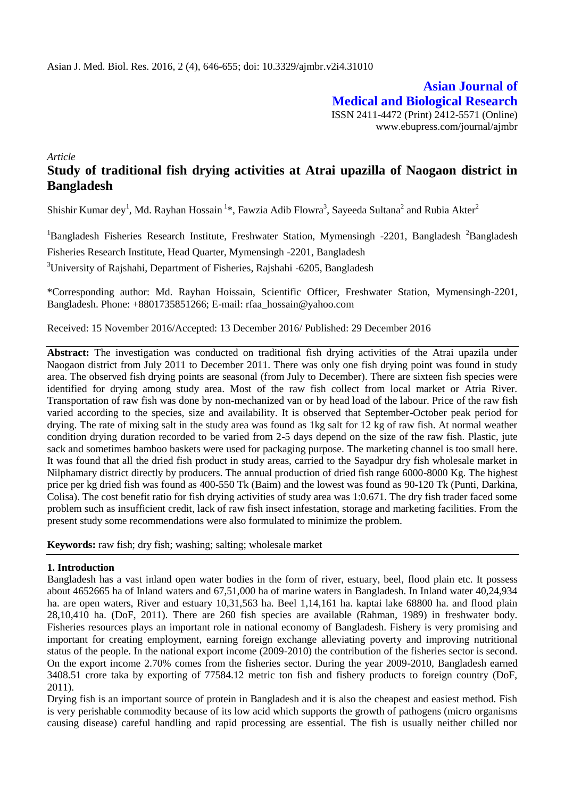**Asian Journal of Medical and Biological Research** ISSN 2411-4472 (Print) 2412-5571 (Online) www.ebupress.com/journal/ajmbr

*Article*

# **Study of traditional fish drying activities at Atrai upazilla of Naogaon district in Bangladesh**

Shishir Kumar dey<sup>1</sup>, Md. Rayhan Hossain<sup>1</sup>\*, Fawzia Adib Flowra<sup>3</sup>, Sayeeda Sultana<sup>2</sup> and Rubia Akter<sup>2</sup>

 $1B$ angladesh Fisheries Research Institute, Freshwater Station, Mymensingh -2201, Bangladesh  $2B$ angladesh Fisheries Research Institute, Head Quarter, Mymensingh -2201, Bangladesh <sup>3</sup>University of Rajshahi, Department of Fisheries, Rajshahi -6205, Bangladesh

\*Corresponding author: Md. Rayhan Hoissain, Scientific Officer, Freshwater Station, Mymensingh-2201, Bangladesh. Phone: +8801735851266; E-mail: rfaa\_hossain@yahoo.com

Received: 15 November 2016/Accepted: 13 December 2016/ Published: 29 December 2016

**Abstract:** The investigation was conducted on traditional fish drying activities of the Atrai upazila under Naogaon district from July 2011 to December 2011. There was only one fish drying point was found in study area. The observed fish drying points are seasonal (from July to December). There are sixteen fish species were identified for drying among study area. Most of the raw fish collect from local market or Atria River. Transportation of raw fish was done by non-mechanized van or by head load of the labour. Price of the raw fish varied according to the species, size and availability. It is observed that September-October peak period for drying. The rate of mixing salt in the study area was found as 1kg salt for 12 kg of raw fish. At normal weather condition drying duration recorded to be varied from 2-5 days depend on the size of the raw fish. Plastic, jute sack and sometimes bamboo baskets were used for packaging purpose. The marketing channel is too small here. It was found that all the dried fish product in study areas, carried to the Sayadpur dry fish wholesale market in Nilphamary district directly by producers. The annual production of dried fish range 6000-8000 Kg. The highest price per kg dried fish was found as 400-550 Tk (Baim) and the lowest was found as 90-120 Tk (Punti, Darkina, Colisa). The cost benefit ratio for fish drying activities of study area was 1:0.671. The dry fish trader faced some problem such as insufficient credit, lack of raw fish insect infestation, storage and marketing facilities. From the present study some recommendations were also formulated to minimize the problem.

**Keywords:** raw fish; dry fish; washing; salting; wholesale market

#### **1. Introduction**

Bangladesh has a vast inland open water bodies in the form of river, estuary, beel, flood plain etc. It possess about 4652665 ha of Inland waters and 67,51,000 ha of marine waters in Bangladesh. In Inland water 40,24,934 ha. are open waters, River and estuary 10,31,563 ha. Beel 1,14,161 ha. kaptai lake 68800 ha. and flood plain 28,10,410 ha. (DoF, 2011). There are 260 fish species are available (Rahman, 1989) in freshwater body. Fisheries resources plays an important role in national economy of Bangladesh. Fishery is very promising and important for creating employment, earning foreign exchange alleviating poverty and improving nutritional status of the people. In the national export income (2009-2010) the contribution of the fisheries sector is second. On the export income 2.70% comes from the fisheries sector. During the year 2009-2010, Bangladesh earned 3408.51 crore taka by exporting of 77584.12 metric ton fish and fishery products to foreign country (DoF, 2011).

Drying fish is an important source of protein in Bangladesh and it is also the cheapest and easiest method. Fish is very perishable commodity because of its low acid which supports the growth of pathogens (micro organisms causing disease) careful handling and rapid processing are essential. The fish is usually neither chilled nor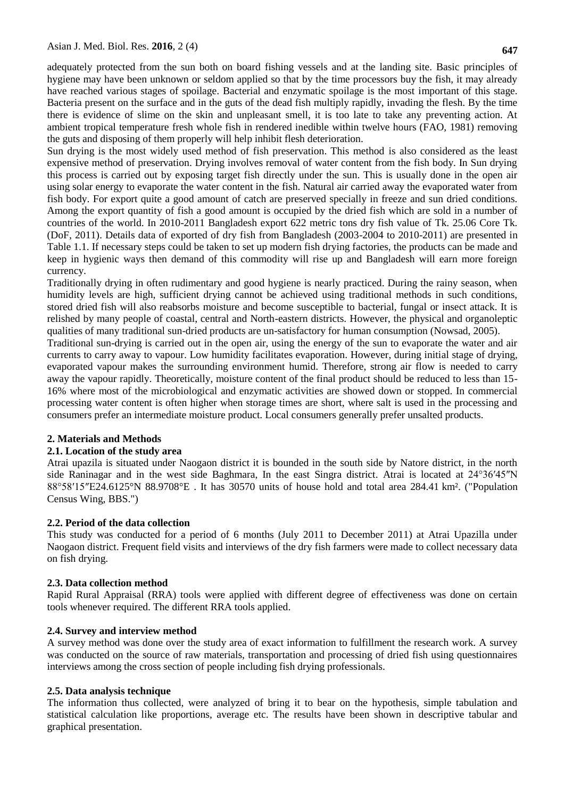Sun drying is the most widely used method of fish preservation. This method is also considered as the least expensive method of preservation. Drying involves removal of water content from the fish body. In Sun drying this process is carried out by exposing target fish directly under the sun. This is usually done in the open air using solar energy to evaporate the water content in the fish. Natural air carried away the evaporated water from fish body. For export quite a good amount of catch are preserved specially in freeze and sun dried conditions. Among the export quantity of fish a good amount is occupied by the dried fish which are sold in a number of countries of the world. In 2010-2011 Bangladesh export 622 metric tons dry fish value of Tk. 25.06 Core Tk. (DoF, 2011). Details data of exported of dry fish from Bangladesh (2003-2004 to 2010-2011) are presented in Table 1.1. If necessary steps could be taken to set up modern fish drying factories, the products can be made and keep in hygienic ways then demand of this commodity will rise up and Bangladesh will earn more foreign currency.

Traditionally drying in often rudimentary and good hygiene is nearly practiced. During the rainy season, when humidity levels are high, sufficient drying cannot be achieved using traditional methods in such conditions, stored dried fish will also reabsorbs moisture and become susceptible to bacterial, fungal or insect attack. It is relished by many people of coastal, central and North-eastern districts. However, the physical and organoleptic qualities of many traditional sun-dried products are un-satisfactory for human consumption (Nowsad, 2005).

Traditional sun-drying is carried out in the open air, using the energy of the sun to evaporate the water and air currents to carry away to vapour. Low humidity facilitates evaporation. However, during initial stage of drying, evaporated vapour makes the surrounding environment humid. Therefore, strong air flow is needed to carry away the vapour rapidly. Theoretically, moisture content of the final product should be reduced to less than 15- 16% where most of the microbiological and enzymatic activities are showed down or stopped. In commercial processing water content is often higher when storage times are short, where salt is used in the processing and consumers prefer an intermediate moisture product. Local consumers generally prefer unsalted products.

# **2. Materials and Methods**

# **2.1. Location of the study area**

Atrai upazila is situated under Naogaon district it is bounded in the south side by Natore district, in the north side Raninagar and in the west side Baghmara, In the east Singra district. Atrai is located at [24°36′45″N](http://toolserver.org/~geohack/geohack.php?pagename=Atrai_Upazila¶ms=24.6125_N_88.9708_E_)  [88°58′15″E24.6125°N 88.9708°E](http://toolserver.org/~geohack/geohack.php?pagename=Atrai_Upazila¶ms=24.6125_N_88.9708_E_) . It has 30570 units of house hold and total area 284.41 km². [\("Population](http://web.archive.org/web/20050327072826/http:/www.bangladeshgov.org/mop/ndb/arpc91_v1/tables04.htm)  [Census Wing, BBS."\)](http://web.archive.org/web/20050327072826/http:/www.bangladeshgov.org/mop/ndb/arpc91_v1/tables04.htm)

# **2.2. Period of the data collection**

This study was conducted for a period of 6 months (July 2011 to December 2011) at Atrai Upazilla under Naogaon district. Frequent field visits and interviews of the dry fish farmers were made to collect necessary data on fish drying.

# **2.3. Data collection method**

Rapid Rural Appraisal (RRA) tools were applied with different degree of effectiveness was done on certain tools whenever required. The different RRA tools applied.

# **2.4. Survey and interview method**

A survey method was done over the study area of exact information to fulfillment the research work. A survey was conducted on the source of raw materials, transportation and processing of dried fish using questionnaires interviews among the cross section of people including fish drying professionals.

# **2.5. Data analysis technique**

The information thus collected, were analyzed of bring it to bear on the hypothesis, simple tabulation and statistical calculation like proportions, average etc. The results have been shown in descriptive tabular and graphical presentation.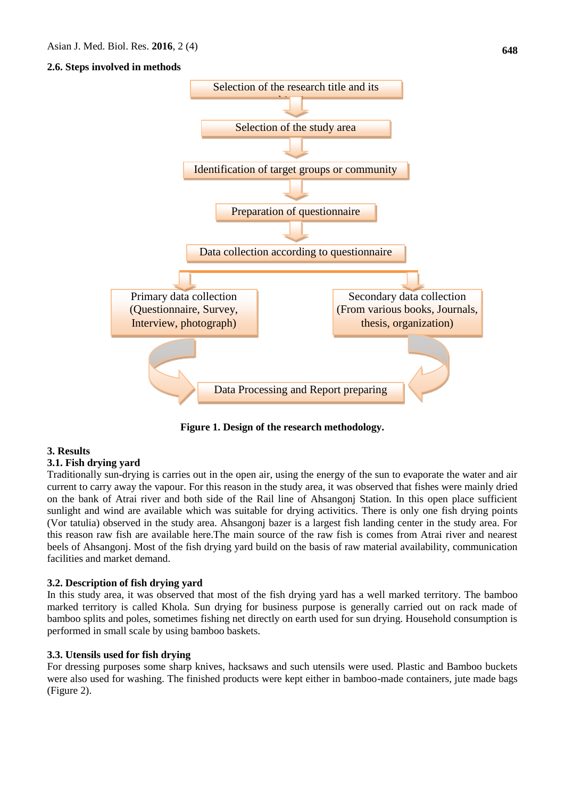### **2.6. Steps involved in methods**



**Figure 1. Design of the research methodology.**

#### **3. Results**

### **3.1. Fish drying yard**

Traditionally sun-drying is carries out in the open air, using the energy of the sun to evaporate the water and air current to carry away the vapour. For this reason in the study area, it was observed that fishes were mainly dried on the bank of Atrai river and both side of the Rail line of Ahsangonj Station. In this open place sufficient sunlight and wind are available which was suitable for drying activitics. There is only one fish drying points (Vor tatulia) observed in the study area. Ahsangonj bazer is a largest fish landing center in the study area. For this reason raw fish are available here.The main source of the raw fish is comes from Atrai river and nearest beels of Ahsangonj. Most of the fish drying yard build on the basis of raw material availability, communication facilities and market demand.

#### **3.2. Description of fish drying yard**

In this study area, it was observed that most of the fish drying yard has a well marked territory. The bamboo marked territory is called Khola. Sun drying for business purpose is generally carried out on rack made of bamboo splits and poles, sometimes fishing net directly on earth used for sun drying. Household consumption is performed in small scale by using bamboo baskets.

#### **3.3. Utensils used for fish drying**

For dressing purposes some sharp knives, hacksaws and such utensils were used. Plastic and Bamboo buckets were also used for washing. The finished products were kept either in bamboo-made containers, jute made bags (Figure 2).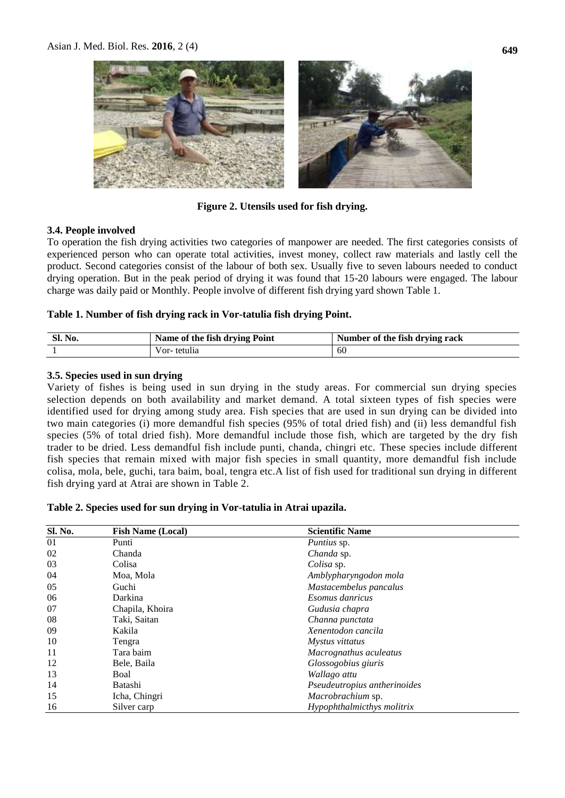

### **Figure 2. Utensils used for fish drying.**

#### **3.4. People involved**

To operation the fish drying activities two categories of manpower are needed. The first categories consists of experienced person who can operate total activities, invest money, collect raw materials and lastly cell the product. Second categories consist of the labour of both sex. Usually five to seven labours needed to conduct drying operation. But in the peak period of drying it was found that 15-20 labours were engaged. The labour charge was daily paid or Monthly. People involve of different fish drying yard shown Table 1.

#### **Table 1. Number of fish drying rack in Vor-tatulia fish drying Point.**

| Sl. No. | Name of the fish drying Point | Number of the fish drying rack |
|---------|-------------------------------|--------------------------------|
|         | Vor-tetulia                   | -60                            |

#### **3.5. Species used in sun drying**

Variety of fishes is being used in sun drying in the study areas. For commercial sun drying species selection depends on both availability and market demand. A total sixteen types of fish species were identified used for drying among study area. Fish species that are used in sun drying can be divided into two main categories (i) more demandful fish species (95% of total dried fish) and (ii) less demandful fish species (5% of total dried fish). More demandful include those fish, which are targeted by the dry fish trader to be dried. Less demandful fish include punti, chanda, chingri etc. These species include different fish species that remain mixed with major fish species in small quantity, more demandful fish include colisa, mola, bele, guchi, tara baim, boal, tengra etc.A list of fish used for traditional sun drying in different fish drying yard at Atrai are shown in Table 2.

#### **Table 2. Species used for sun drying in Vor-tatulia in Atrai upazila.**

| <b>Sl. No.</b> | <b>Fish Name (Local)</b> | <b>Scientific Name</b>       |
|----------------|--------------------------|------------------------------|
| 01             | Punti                    | <i>Puntius</i> sp.           |
| 02             | Chanda                   | Chanda sp.                   |
| 03             | Colisa                   | Colisa sp.                   |
| 04             | Moa, Mola                | Amblypharyngodon mola        |
| 05             | Guchi                    | Mastacembelus pancalus       |
| 06             | Darkina                  | <i>Esomus danricus</i>       |
| 07             | Chapila, Khoira          | Gudusia chapra               |
| 08             | Taki, Saitan             | Channa punctata              |
| 09             | Kakila                   | Xenentodon cancila           |
| 10             | Tengra                   | Mystus vittatus              |
| 11             | Tara baim                | Macrognathus aculeatus       |
| 12             | Bele, Baila              | Glossogobius giuris          |
| 13             | Boal                     | Wallago attu                 |
| 14             | Batashi                  | Pseudeutropius antherinoides |
| 15             | Icha, Chingri            | Macrobrachium sp.            |
| 16             | Silver carp              | Hypophthalmicthys molitrix   |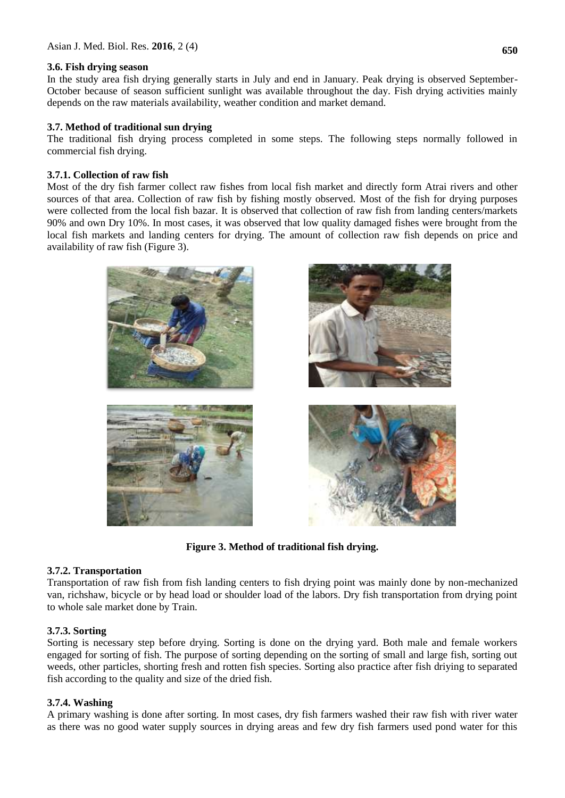#### **3.6. Fish drying season**

In the study area fish drying generally starts in July and end in January. Peak drying is observed September-October because of season sufficient sunlight was available throughout the day. Fish drying activities mainly depends on the raw materials availability, weather condition and market demand.

### **3.7. Method of traditional sun drying**

The traditional fish drying process completed in some steps. The following steps normally followed in commercial fish drying.

### **3.7.1. Collection of raw fish**

Most of the dry fish farmer collect raw fishes from local fish market and directly form Atrai rivers and other sources of that area. Collection of raw fish by fishing mostly observed. Most of the fish for drying purposes were collected from the local fish bazar. It is observed that collection of raw fish from landing centers/markets 90% and own Dry 10%. In most cases, it was observed that low quality damaged fishes were brought from the local fish markets and landing centers for drying. The amount of collection raw fish depends on price and availability of raw fish (Figure 3).



**Figure 3. Method of traditional fish drying.**

# **3.7.2. Transportation**

Transportation of raw fish from fish landing centers to fish drying point was mainly done by non-mechanized van, richshaw, bicycle or by head load or shoulder load of the labors. Dry fish transportation from drying point to whole sale market done by Train.

# **3.7.3. Sorting**

Sorting is necessary step before drying. Sorting is done on the drying yard. Both male and female workers engaged for sorting of fish. The purpose of sorting depending on the sorting of small and large fish, sorting out weeds, other particles, shorting fresh and rotten fish species. Sorting also practice after fish driying to separated fish according to the quality and size of the dried fish.

#### **3.7.4. Washing**

A primary washing is done after sorting. In most cases, dry fish farmers washed their raw fish with river water as there was no good water supply sources in drying areas and few dry fish farmers used pond water for this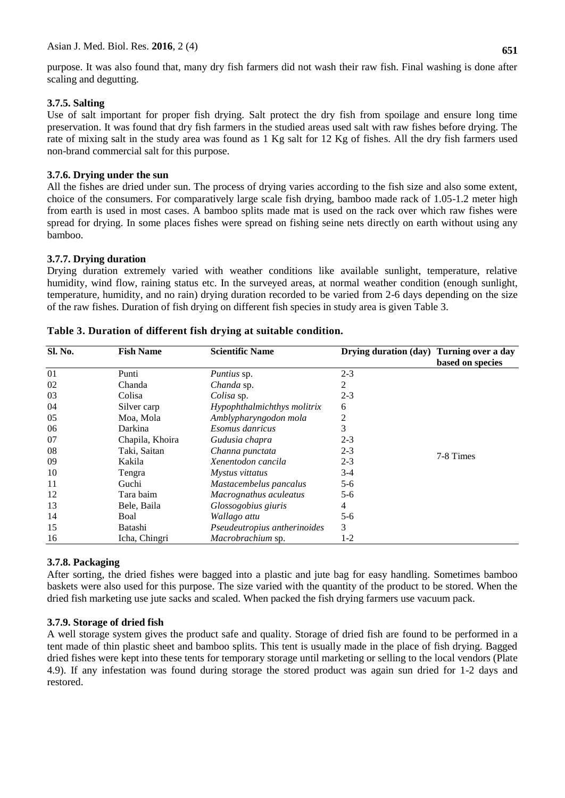purpose. It was also found that, many dry fish farmers did not wash their raw fish. Final washing is done after scaling and degutting.

### **3.7.5. Salting**

Use of salt important for proper fish drying. Salt protect the dry fish from spoilage and ensure long time preservation. It was found that dry fish farmers in the studied areas used salt with raw fishes before drying. The rate of mixing salt in the study area was found as 1 Kg salt for 12 Kg of fishes. All the dry fish farmers used non-brand commercial salt for this purpose.

### **3.7.6. Drying under the sun**

All the fishes are dried under sun. The process of drying varies according to the fish size and also some extent, choice of the consumers. For comparatively large scale fish drying, bamboo made rack of 1.05-1.2 meter high from earth is used in most cases. A bamboo splits made mat is used on the rack over which raw fishes were spread for drying. In some places fishes were spread on fishing seine nets directly on earth without using any bamboo.

### **3.7.7. Drying duration**

Drying duration extremely varied with weather conditions like available sunlight, temperature, relative humidity, wind flow, raining status etc. In the surveyed areas, at normal weather condition (enough sunlight, temperature, humidity, and no rain) drying duration recorded to be varied from 2-6 days depending on the size of the raw fishes. Duration of fish drying on different fish species in study area is given Table 3.

| Sl. No. | <b>Fish Name</b> | <b>Scientific Name</b>          | Drying duration (day) Turning over a day |                  |  |  |
|---------|------------------|---------------------------------|------------------------------------------|------------------|--|--|
|         |                  |                                 |                                          | based on species |  |  |
| 01      | Punti            | <i>Puntius</i> sp.              | $2 - 3$                                  |                  |  |  |
| 02      | Chanda           | Chanda sp.                      | 2                                        |                  |  |  |
| 03      | Colisa           | Colisa sp.                      | $2 - 3$                                  |                  |  |  |
| 04      | Silver carp      | Hypophthalmichthys molitrix     | 6                                        |                  |  |  |
| 05      | Moa, Mola        | Amblypharyngodon mola           | 2                                        |                  |  |  |
| 06      | Darkina          | Esomus danricus                 | 3                                        |                  |  |  |
| 07      | Chapila, Khoira  | Gudusia chapra                  | $2 - 3$                                  |                  |  |  |
| 08      | Taki, Saitan     | Channa punctata                 | $2 - 3$                                  | 7-8 Times        |  |  |
| 09      | Kakila           | Xenentodon cancila              | $2 - 3$                                  |                  |  |  |
| 10      | Tengra           | Mystus vittatus                 | $3-4$                                    |                  |  |  |
| 11      | Guchi            | Mastacembelus pancalus          | $5-6$                                    |                  |  |  |
| 12      | Tara baim        | Macrognathus aculeatus<br>$5-6$ |                                          |                  |  |  |
| 13      | Bele, Baila      | 4<br>Glossogobius giuris        |                                          |                  |  |  |
| 14      | Boal             | Wallago attu                    | $5-6$                                    |                  |  |  |
| 15      | Batashi          | Pseudeutropius antherinoides    | 3                                        |                  |  |  |
| 16      | Icha, Chingri    | Macrobrachium sp.               | 1-2                                      |                  |  |  |

| Table 3. Duration of different fish drying at suitable condition. |  |  |  |  |  |  |  |
|-------------------------------------------------------------------|--|--|--|--|--|--|--|
|-------------------------------------------------------------------|--|--|--|--|--|--|--|

# **3.7.8. Packaging**

After sorting, the dried fishes were bagged into a plastic and jute bag for easy handling. Sometimes bamboo baskets were also used for this purpose. The size varied with the quantity of the product to be stored. When the dried fish marketing use jute sacks and scaled. When packed the fish drying farmers use vacuum pack.

# **3.7.9. Storage of dried fish**

A well storage system gives the product safe and quality. Storage of dried fish are found to be performed in a tent made of thin plastic sheet and bamboo splits. This tent is usually made in the place of fish drying. Bagged dried fishes were kept into these tents for temporary storage until marketing or selling to the local vendors (Plate 4.9). If any infestation was found during storage the stored product was again sun dried for 1-2 days and restored.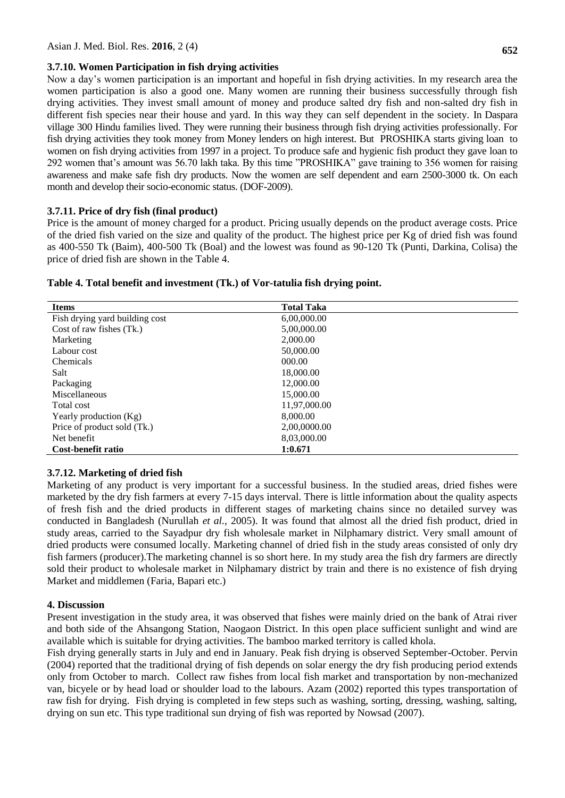#### **3.7.10. Women Participation in fish drying activities**

Now a day's women participation is an important and hopeful in fish drying activities. In my research area the women participation is also a good one. Many women are running their business successfully through fish drying activities. They invest small amount of money and produce salted dry fish and non-salted dry fish in different fish species near their house and yard. In this way they can self dependent in the society. In Daspara village 300 Hindu families lived. They were running their business through fish drying activities professionally. For fish drying activities they took money from Money lenders on high interest. But PROSHIKA starts giving loan to women on fish drying activities from 1997 in a project. To produce safe and hygienic fish product they gave loan to 292 women that's amount was 56.70 lakh taka. By this time "PROSHIKA" gave training to 356 women for raising awareness and make safe fish dry products. Now the women are self dependent and earn 2500-3000 tk. On each month and develop their socio-economic status. (DOF-2009).

### **3.7.11. Price of dry fish (final product)**

Price is the amount of money charged for a product. Pricing usually depends on the product average costs. Price of the dried fish varied on the size and quality of the product. The highest price per Kg of dried fish was found as 400-550 Tk (Baim), 400-500 Tk (Boal) and the lowest was found as 90-120 Tk (Punti, Darkina, Colisa) the price of dried fish are shown in the Table 4.

| <b>Items</b>                   | <b>Total Taka</b> |
|--------------------------------|-------------------|
| Fish drying yard building cost | 6,00,000.00       |
| Cost of raw fishes (Tk.)       | 5,00,000.00       |
| Marketing                      | 2,000.00          |
| Labour cost                    | 50,000.00         |
| <b>Chemicals</b>               | 000.00            |
| Salt                           | 18,000.00         |
| Packaging                      | 12,000.00         |
| Miscellaneous                  | 15,000.00         |
| Total cost                     | 11,97,000.00      |
| Yearly production (Kg)         | 8,000.00          |
| Price of product sold (Tk.)    | 2.00.0000.00      |
| Net benefit                    | 8,03,000.00       |
| Cost-benefit ratio             | 1:0.671           |

#### **Table 4. Total benefit and investment (Tk.) of Vor-tatulia fish drying point.**

# **3.7.12. Marketing of dried fish**

Marketing of any product is very important for a successful business. In the studied areas, dried fishes were marketed by the dry fish farmers at every 7-15 days interval. There is little information about the quality aspects of fresh fish and the dried products in different stages of marketing chains since no detailed survey was conducted in Bangladesh (Nurullah *et al.*, 2005). It was found that almost all the dried fish product, dried in study areas, carried to the Sayadpur dry fish wholesale market in Nilphamary district. Very small amount of dried products were consumed locally. Marketing channel of dried fish in the study areas consisted of only dry fish farmers (producer).The marketing channel is so short here. In my study area the fish dry farmers are directly sold their product to wholesale market in Nilphamary district by train and there is no existence of fish drying Market and middlemen (Faria, Bapari etc.)

#### **4. Discussion**

Present investigation in the study area, it was observed that fishes were mainly dried on the bank of Atrai river and both side of the Ahsangong Station, Naogaon District. In this open place sufficient sunlight and wind are available which is suitable for drying activities. The bamboo marked territory is called khola.

Fish drying generally starts in July and end in January. Peak fish drying is observed September-October. Pervin (2004) reported that the traditional drying of fish depends on solar energy the dry fish producing period extends only from October to march. Collect raw fishes from local fish market and transportation by non-mechanized van, bicyele or by head load or shoulder load to the labours. Azam (2002) reported this types transportation of raw fish for drying. Fish drying is completed in few steps such as washing, sorting, dressing, washing, salting, drying on sun etc. This type traditional sun drying of fish was reported by Nowsad (2007).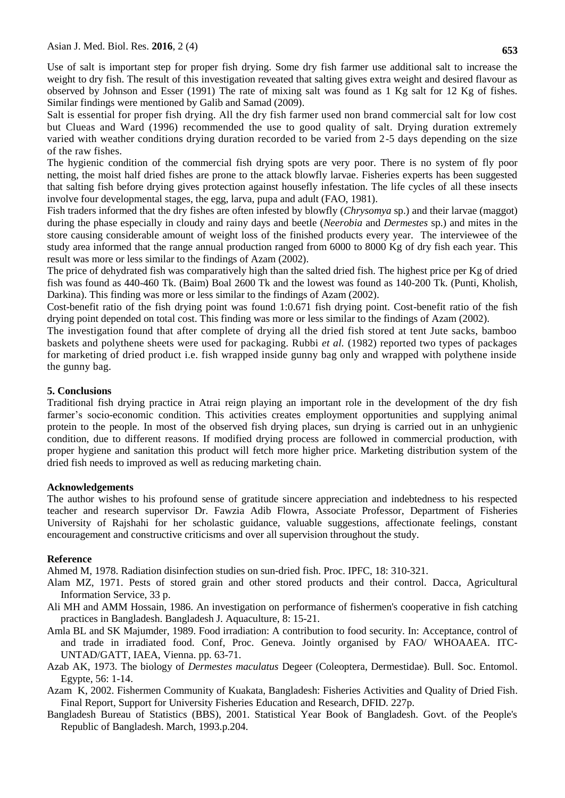Use of salt is important step for proper fish drying. Some dry fish farmer use additional salt to increase the weight to dry fish. The result of this investigation reveated that salting gives extra weight and desired flavour as observed by Johnson and Esser (1991) The rate of mixing salt was found as 1 Kg salt for 12 Kg of fishes. Similar findings were mentioned by Galib and Samad (2009).

Salt is essential for proper fish drying. All the dry fish farmer used non brand commercial salt for low cost but Clueas and Ward (1996) recommended the use to good quality of salt. Drying duration extremely varied with weather conditions drying duration recorded to be varied from 2-5 days depending on the size of the raw fishes.

The hygienic condition of the commercial fish drying spots are very poor. There is no system of fly poor netting, the moist half dried fishes are prone to the attack blowfly larvae. Fisheries experts has been suggested that salting fish before drying gives protection against housefly infestation. The life cycles of all these insects involve four developmental stages, the egg, larva, pupa and adult (FAO, 1981).

Fish traders informed that the dry fishes are often infested by blowfly (*Chrysomya* sp.) and their larvae (maggot) during the phase especially in cloudy and rainy days and beetle (*Neerobia* and *Dermestes* sp.) and mites in the store causing considerable amount of weight loss of the finished products every year. The interviewee of the study area informed that the range annual production ranged from 6000 to 8000 Kg of dry fish each year. This result was more or less similar to the findings of Azam (2002).

The price of dehydrated fish was comparatively high than the salted dried fish. The highest price per Kg of dried fish was found as 440-460 Tk. (Baim) Boal 2600 Tk and the lowest was found as 140-200 Tk. (Punti, Kholish, Darkina). This finding was more or less similar to the findings of Azam (2002).

Cost-benefit ratio of the fish drying point was found 1:0.671 fish drying point. Cost-benefit ratio of the fish drying point depended on total cost. This finding was more or less similar to the findings of Azam (2002).

The investigation found that after complete of drying all the dried fish stored at tent Jute sacks, bamboo baskets and polythene sheets were used for packaging. Rubbi *et al.* (1982) reported two types of packages for marketing of dried product i.e. fish wrapped inside gunny bag only and wrapped with polythene inside the gunny bag.

#### **5. Conclusions**

Traditional fish drying practice in Atrai reign playing an important role in the development of the dry fish farmer's socio-economic condition. This activities creates employment opportunities and supplying animal protein to the people. In most of the observed fish drying places, sun drying is carried out in an unhygienic condition, due to different reasons. If modified drying process are followed in commercial production, with proper hygiene and sanitation this product will fetch more higher price. Marketing distribution system of the dried fish needs to improved as well as reducing marketing chain.

#### **Acknowledgements**

The author wishes to his profound sense of gratitude sincere appreciation and indebtedness to his respected teacher and research supervisor Dr. Fawzia Adib Flowra, Associate Professor, Department of Fisheries University of Rajshahi for her scholastic guidance, valuable suggestions, affectionate feelings, constant encouragement and constructive criticisms and over all supervision throughout the study.

#### **Reference**

Ahmed M, 1978. Radiation disinfection studies on sun-dried fish. Proc. IPFC, 18: 310-321.

- Alam MZ, 1971. Pests of stored grain and other stored products and their control. Dacca*,* Agricultural Information Service, 33 p.
- Ali MH and AMM Hossain, 1986. An investigation on performance of fishermen's cooperative in fish catching practices in Bangladesh. Bangladesh J. Aquaculture, 8: 15-21.
- Amla BL and SK Majumder, 1989. Food irradiation: A contribution to food security. In: Acceptance, control of and trade in irradiated food. Conf, Proc. Geneva. Jointly organised by FAO/ WHOAAEA. ITC-UNTAD/GATT, IAEA, Vienna. pp. 63-71.
- Azab AK, 1973. The biology of *Dermestes maculatus* Degeer (Coleoptera, Dermestidae). Bull. Soc. Entomol. Egypte, 56: 1-14.
- Azam K, 2002. Fishermen Community of Kuakata, Bangladesh: Fisheries Activities and Quality of Dried Fish. Final Report, Support for University Fisheries Education and Research, DFID. 227p.
- Bangladesh Bureau of Statistics (BBS), 2001. Statistical Year Book of Bangladesh. Govt. of the People's Republic of Bangladesh. March, 1993.p.204.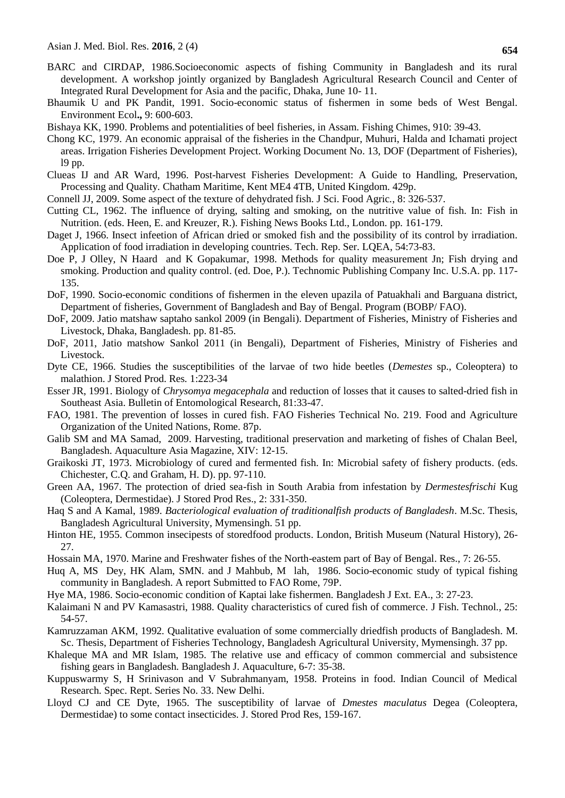- BARC and CIRDAP, 1986.Socioeconomic aspects of fishing Community in Bangladesh and its rural development. A workshop jointly organized by Bangladesh Agricultural Research Council and Center of Integrated Rural Development for Asia and the pacific, Dhaka, June 10- 11.
- Bhaumik U and PK Pandit, 1991. Socio-economic status of fishermen in some beds of West Bengal. Environment Ecol**.,** 9: 600-603.
- Bishaya KK, 1990. Problems and potentialities of beel fisheries, in Assam. Fishing Chimes, 910: 39-43.
- Chong KC, 1979. An economic appraisal of the fisheries in the Chandpur, Muhuri, Halda and Ichamati project areas. Irrigation Fisheries Development Project. Working Document No. 13, DOF (Department of Fisheries), l9 pp.
- Clueas IJ and AR Ward, 1996. Post-harvest Fisheries Development: A Guide to Handling, Preservation, Processing and Quality*.* Chatham Maritime, Kent ME4 4TB, United Kingdom. 429p.
- Connell JJ, 2009. Some aspect of the texture of dehydrated fish. J Sci. Food Agric*.*, 8: 326-537.
- Cutting CL, 1962. The influence of drying, salting and smoking, on the nutritive value of fish. In: Fish in Nutrition. (eds. Heen, E. and Kreuzer, R.). Fishing News Books Ltd., London. pp. 161-179.
- Daget J, 1966. Insect infeetion of African dried or smoked fish and the possibility of its control by irradiation. Application of food irradiation in developing countries. Tech. Rep. Ser. LQEA, 54:73-83.
- Doe P, J Olley, N Haard and K Gopakumar, 1998. Methods for quality measurement Jn; Fish drying and smoking. Production and quality control. (ed. Doe, P.). Technomic Publishing Company Inc. U.S.A. pp. 117- 135.
- DoF, 1990. Socio-economic conditions of fishermen in the eleven upazila of Patuakhali and Barguana district, Department of fisheries, Government of Bangladesh and Bay of Bengal. Program (BOBP/ FAO).
- DoF, 2009. Jatio matshaw saptaho sankol 2009 (in Bengali). Department of Fisheries, Ministry of Fisheries and Livestock, Dhaka, Bangladesh. pp. 81-85.
- DoF, 2011, Jatio matshow Sankol 2011 (in Bengali), Department of Fisheries, Ministry of Fisheries and Livestock.
- Dyte CE, 1966. Studies the susceptibilities of the larvae of two hide beetles (*Demestes* sp., Coleoptera) to malathion. J Stored Prod. Res*.* 1:223-34
- Esser JR, 1991. Biology of *Chrysomya megacephala* and reduction of losses that it causes to salted-dried fish in Southeast Asia. Bulletin of Entomological Research, 81:33-47.
- FAO, 1981. The prevention of losses in cured fish. FAO Fisheries Technical No. 219. Food and Agriculture Organization of the United Nations, Rome. 87p.
- Galib SM and MA Samad, 2009. Harvesting, traditional preservation and marketing of fishes of Chalan Beel, Bangladesh. Aquaculture Asia Magazine, XIV: 12-15.
- Graikoski JT, 1973. Microbiology of cured and fermented fish. In: Microbial safety of fishery products. (eds. Chichester, C.Q. and Graham, H. D). pp. 97-110.
- Green AA, 1967. The protection of dried sea-fish in South Arabia from infestation by *Dermestesfrischi* Kug (Coleoptera, Dermestidae). J Stored Prod Res., 2: 331-350.
- Haq S and A Kamal, 1989. *Bacteriological evaluation of traditionalfish products of Bangladesh*. M.Sc. Thesis, Bangladesh Agricultural University, Mymensingh. 51 pp.
- Hinton HE, 1955. Common insecipests of storedfood products. London, British Museum (Natural History), 26- 27.
- Hossain MA, 1970. Marine and Freshwater fishes of the North-eastem part of Bay of Bengal. Res., 7: 26-55.
- Huq A, MS Dey, HK Alam, SMN. and J Mahbub, M lah, 1986. Socio-economic study of typical fishing community in Bangladesh. A report Submitted to FAO Rome, 79P.
- Hye MA, 1986. Socio-economic condition of Kaptai lake fishermen. Bangladesh J Ext. EA., 3: 27-23.
- Kalaimani N and PV Kamasastri, 1988. Quality characteristics of cured fish of commerce*.* J Fish. Technol*.*, 25: 54-57.
- Kamruzzaman AKM, 1992. Qualitative evaluation of some commercially driedfish products of Bangladesh*.* M. Sc. Thesis, Department of Fisheries Technology, Bangladesh Agricultural University, Mymensingh. 37 pp.
- Khaleque MA and MR Islam, 1985. The relative use and efficacy of common commercial and subsistence fishing gears in Bangladesh. Bangladesh J. Aquaculture, 6-7: 35-38.
- Kuppuswarmy S, H Srinivason and V Subrahmanyam, 1958. Proteins in food. Indian Council of Medical Research*.* Spec. Rept. Series No. 33. New Delhi.
- Lloyd CJ and CE Dyte, 1965. The susceptibility of larvae of *Dmestes maculatus* Degea (Coleoptera, Dermestidae) to some contact insecticides. J. Stored Prod Res, 159-167.